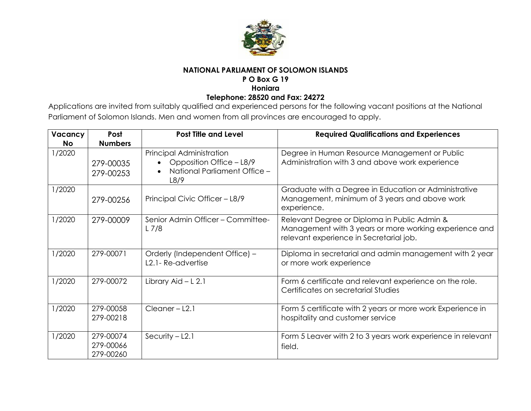

# **NATIONAL PARLIAMENT OF SOLOMON ISLANDS**

# **P O Box G 19**

**Honiara**

#### **Telephone: 28520 and Fax: 24272**

Applications are invited from suitably qualified and experienced persons for the following vacant positions at the National Parliament of Solomon Islands. Men and women from all provinces are encouraged to apply.

| Vacancy   | Post                                | <b>Post Title and Level</b>                                                                  | <b>Required Qualifications and Experiences</b>                                                                                                    |
|-----------|-------------------------------------|----------------------------------------------------------------------------------------------|---------------------------------------------------------------------------------------------------------------------------------------------------|
| <b>No</b> | <b>Numbers</b>                      |                                                                                              |                                                                                                                                                   |
| 1/2020    | 279-00035<br>279-00253              | Principal Administration<br>Opposition Office - L8/9<br>National Parliament Office -<br>L8/9 | Degree in Human Resource Management or Public<br>Administration with 3 and above work experience                                                  |
| 1/2020    | 279-00256                           | Principal Civic Officer - L8/9                                                               | Graduate with a Degree in Education or Administrative<br>Management, minimum of 3 years and above work<br>experience.                             |
| 1/2020    | 279-00009                           | Senior Admin Officer - Committee-<br>$L$ 7/8                                                 | Relevant Degree or Diploma in Public Admin &<br>Management with 3 years or more working experience and<br>relevant experience in Secretarial job. |
| 1/2020    | 279-00071                           | Orderly (Independent Office) -<br>L2.1- Re-advertise                                         | Diploma in secretarial and admin management with 2 year<br>or more work experience                                                                |
| 1/2020    | 279-00072                           | Library Aid - L 2.1                                                                          | Form 6 certificate and relevant experience on the role.<br>Certificates on secretarial Studies                                                    |
| 1/2020    | 279-00058<br>279-00218              | $Cleaner - L2.1$                                                                             | Form 5 certificate with 2 years or more work Experience in<br>hospitality and customer service                                                    |
| 1/2020    | 279-00074<br>279-00066<br>279-00260 | Security $-$ L2.1                                                                            | Form 5 Leaver with 2 to 3 years work experience in relevant<br>field.                                                                             |